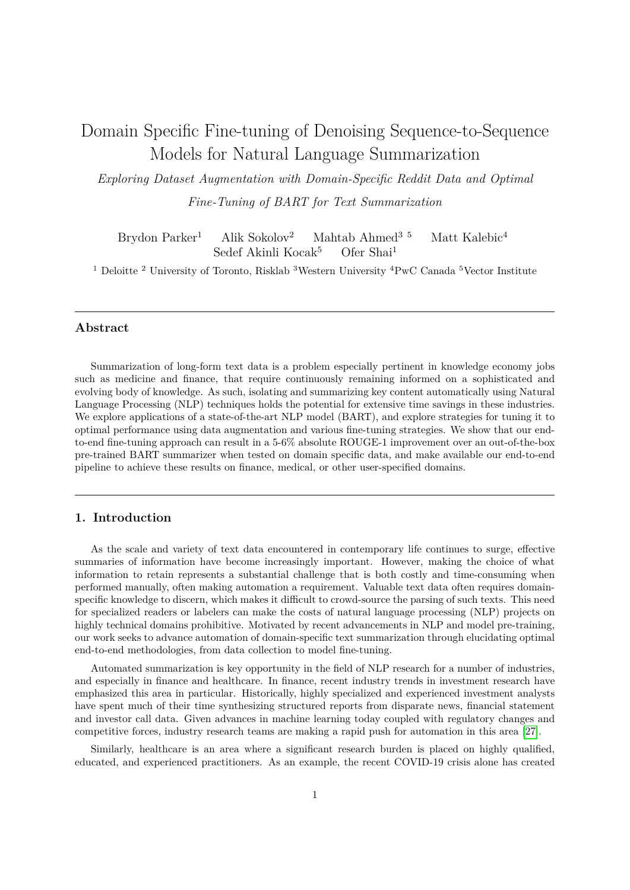# Domain Specific Fine-tuning of Denoising Sequence-to-Sequence Models for Natural Language Summarization

*Exploring Dataset Augmentation with Domain-Specific Reddit Data and Optimal Fine-Tuning of BART for Text Summarization*

Brydon Parker<sup>1</sup> Alik Sokolov<sup>2</sup> Mahtab Ahmed<sup>3 5</sup> Matt Kalebic<sup>4</sup> Sedef Akinli Kocak<sup>5</sup> Ofer Shai<sup>1</sup>

<sup>1</sup> Deloitte <sup>2</sup> University of Toronto, Risklab <sup>3</sup>Western University <sup>4</sup>PwC Canada <sup>5</sup>Vector Institute

## **Abstract**

Summarization of long-form text data is a problem especially pertinent in knowledge economy jobs such as medicine and finance, that require continuously remaining informed on a sophisticated and evolving body of knowledge. As such, isolating and summarizing key content automatically using Natural Language Processing (NLP) techniques holds the potential for extensive time savings in these industries. We explore applications of a state-of-the-art NLP model (BART), and explore strategies for tuning it to optimal performance using data augmentation and various fine-tuning strategies. We show that our endto-end fine-tuning approach can result in a 5-6% absolute ROUGE-1 improvement over an out-of-the-box pre-trained BART summarizer when tested on domain specific data, and make available our end-to-end pipeline to achieve these results on finance, medical, or other user-specified domains.

## **1. Introduction**

As the scale and variety of text data encountered in contemporary life continues to surge, effective summaries of information have become increasingly important. However, making the choice of what information to retain represents a substantial challenge that is both costly and time-consuming when performed manually, often making automation a requirement. Valuable text data often requires domainspecific knowledge to discern, which makes it difficult to crowd-source the parsing of such texts. This need for specialized readers or labelers can make the costs of natural language processing (NLP) projects on highly technical domains prohibitive. Motivated by recent advancements in NLP and model pre-training, our work seeks to advance automation of domain-specific text summarization through elucidating optimal end-to-end methodologies, from data collection to model fine-tuning.

Automated summarization is key opportunity in the field of NLP research for a number of industries, and especially in finance and healthcare. In finance, recent industry trends in investment research have emphasized this area in particular. Historically, highly specialized and experienced investment analysts have spent much of their time synthesizing structured reports from disparate news, financial statement and investor call data. Given advances in machine learning today coupled with regulatory changes and competitive forces, industry research teams are making a rapid push for automation in this area [\[27\]](#page-10-0).

Similarly, healthcare is an area where a significant research burden is placed on highly qualified, educated, and experienced practitioners. As an example, the recent COVID-19 crisis alone has created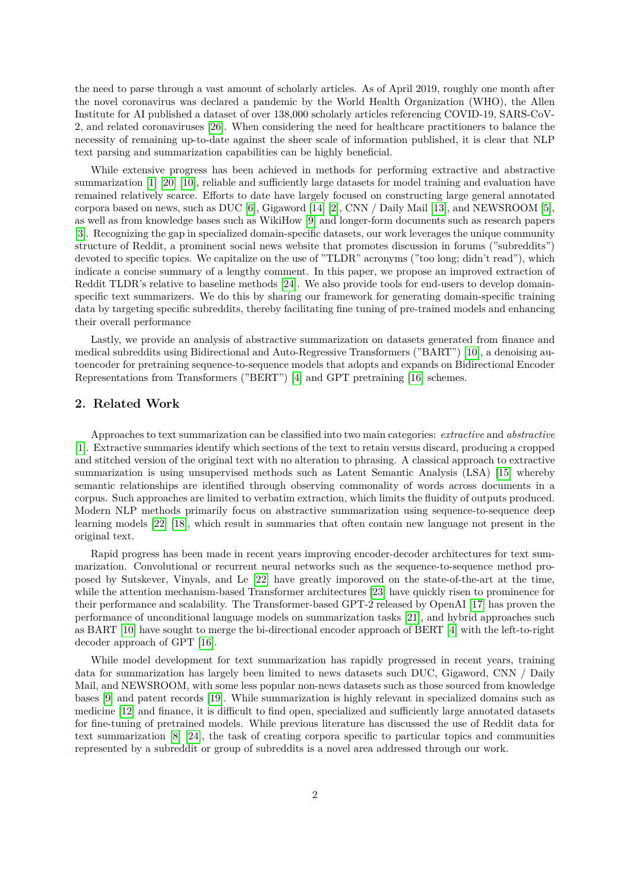the need to parse through a vast amount of scholarly articles. As of April 2019, roughly one month after the novel coronavirus was declared a pandemic by the World Health Organization (WHO), the Allen Institute for AI published a dataset of over 138,000 scholarly articles referencing COVID-19, SARS-CoV-2, and related coronaviruses [\[26\]](#page-10-1). When considering the need for healthcare practitioners to balance the necessity of remaining up-to-date against the sheer scale of information published, it is clear that NLP text parsing and summarization capabilities can be highly beneficial.

While extensive progress has been achieved in methods for performing extractive and abstractive summarization [\[1\]](#page-8-0) [\[20\]](#page-9-0) [\[10\]](#page-9-1), reliable and sufficiently large datasets for model training and evaluation have remained relatively scarce. Efforts to date have largely focused on constructing large general annotated corpora based on news, such as DUC [\[6\]](#page-9-2), Gigaword [\[14\]](#page-9-3) [\[2\]](#page-8-1), CNN / Daily Mail [\[13\]](#page-9-4), and NEWSROOM [\[5\]](#page-9-5), as well as from knowledge bases such as WikiHow [\[9\]](#page-9-6) and longer-form documents such as research papers [\[3\]](#page-9-7). Recognizing the gap in specialized domain-specific datasets, our work leverages the unique community structure of Reddit, a prominent social news website that promotes discussion in forums ("subreddits") devoted to specific topics. We capitalize on the use of "TLDR" acronyms ("too long; didn't read"), which indicate a concise summary of a lengthy comment. In this paper, we propose an improved extraction of Reddit TLDR's relative to baseline methods [\[24\]](#page-9-8). We also provide tools for end-users to develop domainspecific text summarizers. We do this by sharing our framework for generating domain-specific training data by targeting specific subreddits, thereby facilitating fine tuning of pre-trained models and enhancing their overall performance

Lastly, we provide an analysis of abstractive summarization on datasets generated from finance and medical subreddits using Bidirectional and Auto-Regressive Transformers ("BART") [\[10\]](#page-9-1), a denoising autoencoder for pretraining sequence-to-sequence models that adopts and expands on Bidirectional Encoder Representations from Transformers ("BERT") [\[4\]](#page-9-9) and GPT pretraining [\[16\]](#page-9-10) schemes.

## **2. Related Work**

Approaches to text summarization can be classified into two main categories: *extractive* and *abstractive* [\[1\]](#page-8-0). Extractive summaries identify which sections of the text to retain versus discard, producing a cropped and stitched version of the original text with no alteration to phrasing. A classical approach to extractive summarization is using unsupervised methods such as Latent Semantic Analysis (LSA) [\[15\]](#page-9-11) whereby semantic relationships are identified through observing commonality of words across documents in a corpus. Such approaches are limited to verbatim extraction, which limits the fluidity of outputs produced. Modern NLP methods primarily focus on abstractive summarization using sequence-to-sequence deep learning models [\[22\]](#page-9-12) [\[18\]](#page-9-13), which result in summaries that often contain new language not present in the original text.

Rapid progress has been made in recent years improving encoder-decoder architectures for text summarization. Convolutional or recurrent neural networks such as the sequence-to-sequence method proposed by Sutskever, Vinyals, and Le [\[22\]](#page-9-12) have greatly imporoved on the state-of-the-art at the time, while the attention mechanism-based Transformer architectures [\[23\]](#page-9-14) have quickly risen to prominence for their performance and scalability. The Transformer-based GPT-2 released by OpenAI [\[17\]](#page-9-15) has proven the performance of unconditional language models on summarization tasks [\[21\]](#page-9-16), and hybrid approaches such as BART [\[10\]](#page-9-1) have sought to merge the bi-directional encoder approach of BERT [\[4\]](#page-9-9) with the left-to-right decoder approach of GPT [\[16\]](#page-9-10).

While model development for text summarization has rapidly progressed in recent years, training data for summarization has largely been limited to news datasets such DUC, Gigaword, CNN / Daily Mail, and NEWSROOM, with some less popular non-news datasets such as those sourced from knowledge bases [\[9\]](#page-9-6) and patent records [\[19\]](#page-9-17). While summarization is highly relevant in specialized domains such as medicine [\[12\]](#page-9-18) and finance, it is difficult to find open, specialized and sufficiently large annotated datasets for fine-tuning of pretrained models. While previous literature has discussed the use of Reddit data for text summarization [\[8\]](#page-9-19) [\[24\]](#page-9-8), the task of creating corpora specific to particular topics and communities represented by a subreddit or group of subreddits is a novel area addressed through our work.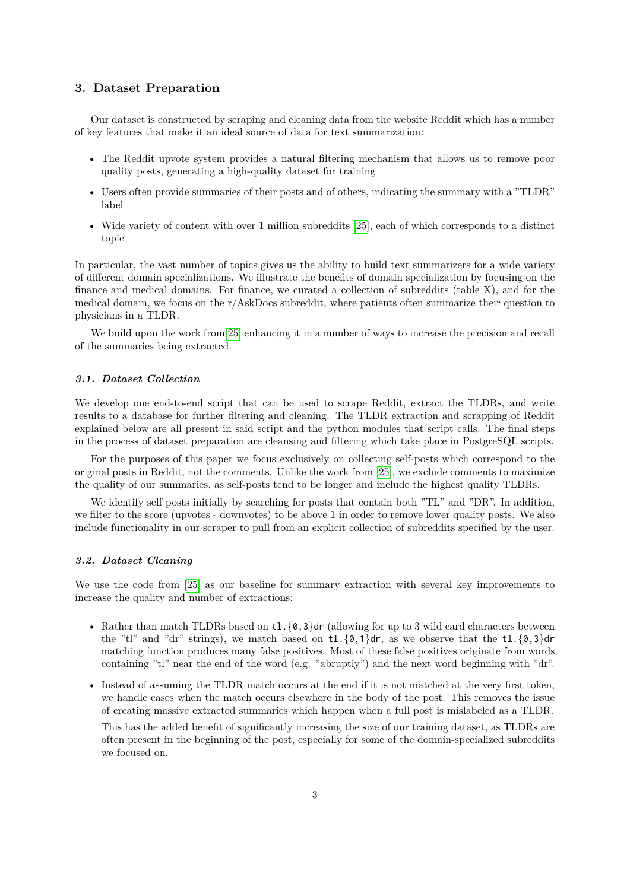## **3. Dataset Preparation**

Our dataset is constructed by scraping and cleaning data from the website Reddit which has a number of key features that make it an ideal source of data for text summarization:

- The Reddit upvote system provides a natural filtering mechanism that allows us to remove poor quality posts, generating a high-quality dataset for training
- Users often provide summaries of their posts and of others, indicating the summary with a "TLDR" label
- Wide variety of content with over 1 million subreddits [\[25\]](#page-10-2), each of which corresponds to a distinct topic

In particular, the vast number of topics gives us the ability to build text summarizers for a wide variety of different domain specializations. We illustrate the benefits of domain specialization by focusing on the finance and medical domains. For finance, we curated a collection of subreddits (table X), and for the medical domain, we focus on the  $r/AskDoes$  subreddit, where patients often summarize their question to physicians in a TLDR.

We build upon the work from [\[25\]](#page-10-2) enhancing it in a number of ways to increase the precision and recall of the summaries being extracted.

#### *3.1. Dataset Collection*

We develop one end-to-end script that can be used to scrape Reddit, extract the TLDRs, and write results to a database for further filtering and cleaning. The TLDR extraction and scrapping of Reddit explained below are all present in said script and the python modules that script calls. The final steps in the process of dataset preparation are cleansing and filtering which take place in PostgreSQL scripts.

For the purposes of this paper we focus exclusively on collecting self-posts which correspond to the original posts in Reddit, not the comments. Unlike the work from [\[25\]](#page-10-2), we exclude comments to maximize the quality of our summaries, as self-posts tend to be longer and include the highest quality TLDRs.

We identify self posts initially by searching for posts that contain both "TL" and "DR". In addition, we filter to the score (upvotes - downvotes) to be above 1 in order to remove lower quality posts. We also include functionality in our scraper to pull from an explicit collection of subreddits specified by the user.

#### *3.2. Dataset Cleaning*

We use the code from [\[25\]](#page-10-2) as our baseline for summary extraction with several key improvements to increase the quality and number of extractions:

- Rather than match TLDRs based on  $t1.\{0,3\}$ dr (allowing for up to 3 wild card characters between the "tl" and "dr" strings), we match based on  $t1.\{0,1\}$ dr, as we observe that the  $t1.\{0,3\}$ dr matching function produces many false positives. Most of these false positives originate from words containing "tl" near the end of the word (e.g. "abruptly") and the next word beginning with "dr".
- Instead of assuming the TLDR match occurs at the end if it is not matched at the very first token, we handle cases when the match occurs elsewhere in the body of the post. This removes the issue of creating massive extracted summaries which happen when a full post is mislabeled as a TLDR.

This has the added benefit of significantly increasing the size of our training dataset, as TLDRs are often present in the beginning of the post, especially for some of the domain-specialized subreddits we focused on.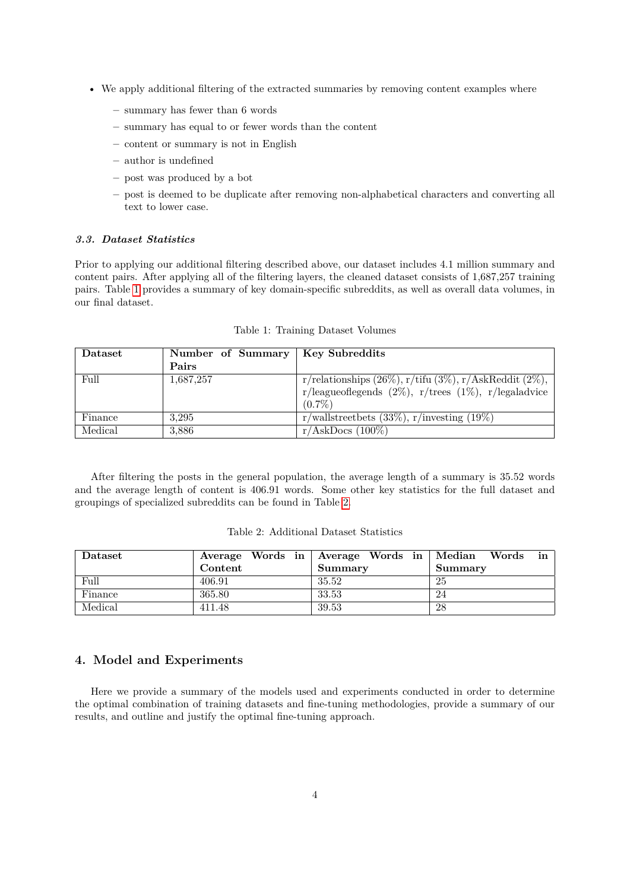- We apply additional filtering of the extracted summaries by removing content examples where
	- **–** summary has fewer than 6 words
	- **–** summary has equal to or fewer words than the content
	- **–** content or summary is not in English
	- **–** author is undefined
	- **–** post was produced by a bot
	- **–** post is deemed to be duplicate after removing non-alphabetical characters and converting all text to lower case.

## *3.3. Dataset Statistics*

Prior to applying our additional filtering described above, our dataset includes 4.1 million summary and content pairs. After applying all of the filtering layers, the cleaned dataset consists of 1,687,257 training pairs. Table [1](#page-3-0) provides a summary of key domain-specific subreddits, as well as overall data volumes, in our final dataset.

<span id="page-3-0"></span>

| Dataset | Number of Summary   Key Subreddits |                                                                   |
|---------|------------------------------------|-------------------------------------------------------------------|
|         | Pairs                              |                                                                   |
| Full    | 1,687,257                          | r/relationships $(26\%)$ , r/tifu $(3\%)$ , r/AskReddit $(2\%)$ , |
|         |                                    | r/league<br>oflegends (2%), r/trees (1%), r/legaladvice           |
|         |                                    | $(0.7\%)$                                                         |
| Finance | 3.295                              | r/wallstreetbets $(33\%)$ , r/investing $(19\%)$                  |
| Medical | 3,886                              | $r/AskDoes (100\%)$                                               |

Table 1: Training Dataset Volumes

After filtering the posts in the general population, the average length of a summary is 35.52 words and the average length of content is 406.91 words. Some other key statistics for the full dataset and groupings of specialized subreddits can be found in Table [2.](#page-3-1)

<span id="page-3-1"></span>

| $\rm \bf D$ ataset |         | Average Words in Average Words in Median Words | in      |
|--------------------|---------|------------------------------------------------|---------|
|                    | Content | <b>Summary</b>                                 | Summary |
| Full               | 406.91  | 35.52                                          | 25      |
| Finance            | 365.80  | 33.53                                          | 24      |
| Medical            | 411.48  | 39.53                                          | 28      |

Table 2: Additional Dataset Statistics

# **4. Model and Experiments**

Here we provide a summary of the models used and experiments conducted in order to determine the optimal combination of training datasets and fine-tuning methodologies, provide a summary of our results, and outline and justify the optimal fine-tuning approach.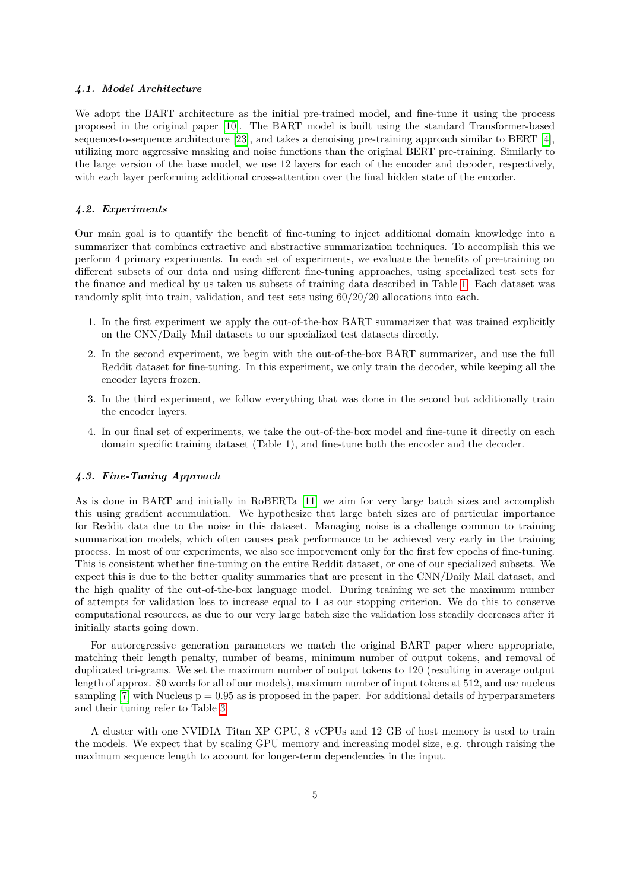#### *4.1. Model Architecture*

We adopt the BART architecture as the initial pre-trained model, and fine-tune it using the process proposed in the original paper [\[10\]](#page-9-1). The BART model is built using the standard Transformer-based sequence-to-sequence architecture [\[23\]](#page-9-14), and takes a denoising pre-training approach similar to BERT [\[4\]](#page-9-9), utilizing more aggressive masking and noise functions than the original BERT pre-training. Similarly to the large version of the base model, we use 12 layers for each of the encoder and decoder, respectively, with each layer performing additional cross-attention over the final hidden state of the encoder.

#### *4.2. Experiments*

Our main goal is to quantify the benefit of fine-tuning to inject additional domain knowledge into a summarizer that combines extractive and abstractive summarization techniques. To accomplish this we perform 4 primary experiments. In each set of experiments, we evaluate the benefits of pre-training on different subsets of our data and using different fine-tuning approaches, using specialized test sets for the finance and medical by us taken us subsets of training data described in Table [1.](#page-3-0) Each dataset was randomly split into train, validation, and test sets using 60/20/20 allocations into each.

- 1. In the first experiment we apply the out-of-the-box BART summarizer that was trained explicitly on the CNN/Daily Mail datasets to our specialized test datasets directly.
- 2. In the second experiment, we begin with the out-of-the-box BART summarizer, and use the full Reddit dataset for fine-tuning. In this experiment, we only train the decoder, while keeping all the encoder layers frozen.
- 3. In the third experiment, we follow everything that was done in the second but additionally train the encoder layers.
- 4. In our final set of experiments, we take the out-of-the-box model and fine-tune it directly on each domain specific training dataset (Table 1), and fine-tune both the encoder and the decoder.

#### *4.3. Fine-Tuning Approach*

As is done in BART and initially in RoBERTa [\[11\]](#page-9-20) we aim for very large batch sizes and accomplish this using gradient accumulation. We hypothesize that large batch sizes are of particular importance for Reddit data due to the noise in this dataset. Managing noise is a challenge common to training summarization models, which often causes peak performance to be achieved very early in the training process. In most of our experiments, we also see imporvement only for the first few epochs of fine-tuning. This is consistent whether fine-tuning on the entire Reddit dataset, or one of our specialized subsets. We expect this is due to the better quality summaries that are present in the CNN/Daily Mail dataset, and the high quality of the out-of-the-box language model. During training we set the maximum number of attempts for validation loss to increase equal to 1 as our stopping criterion. We do this to conserve computational resources, as due to our very large batch size the validation loss steadily decreases after it initially starts going down.

For autoregressive generation parameters we match the original BART paper where appropriate, matching their length penalty, number of beams, minimum number of output tokens, and removal of duplicated tri-grams. We set the maximum number of output tokens to 120 (resulting in average output length of approx. 80 words for all of our models), maximum number of input tokens at 512, and use nucleus sampling  $[7]$  with Nucleus  $p = 0.95$  as is proposed in the paper. For additional details of hyperparameters and their tuning refer to Table [3.](#page-5-0)

A cluster with one NVIDIA Titan XP GPU, 8 vCPUs and 12 GB of host memory is used to train the models. We expect that by scaling GPU memory and increasing model size, e.g. through raising the maximum sequence length to account for longer-term dependencies in the input.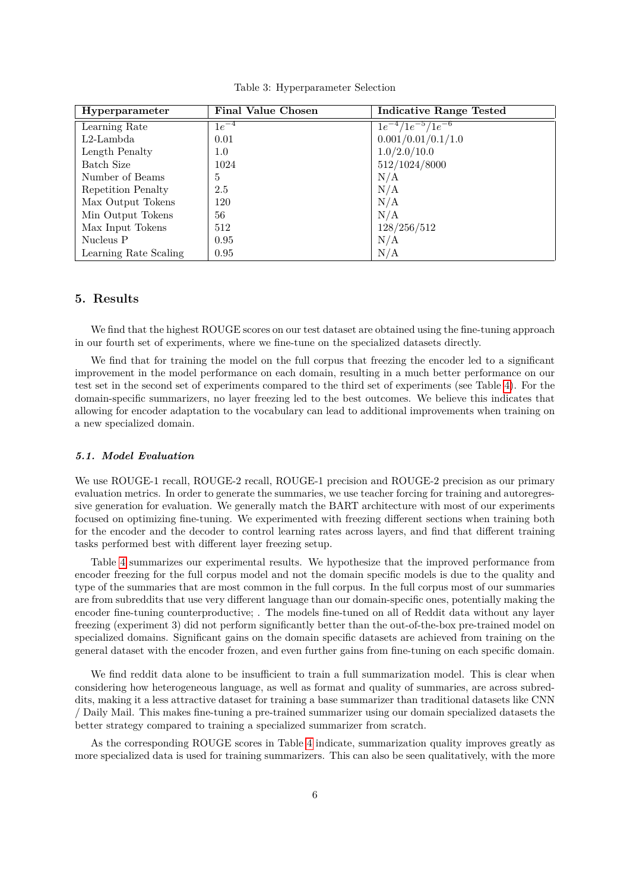|  | Table 3: Hyperparameter Selection |  |
|--|-----------------------------------|--|
|--|-----------------------------------|--|

<span id="page-5-0"></span>

| Hyperparameter        | <b>Final Value Chosen</b> | <b>Indicative Range Tested</b> |
|-----------------------|---------------------------|--------------------------------|
| Learning Rate         | $1e^{-4}$                 | $1e^{-4}/1e^{-5}/1e^{-6}$      |
| $L2$ -Lambda          | 0.01                      | 0.001/0.01/0.1/1.0             |
| Length Penalty        | 1.0                       | 1.0/2.0/10.0                   |
| Batch Size            | 1024                      | 512/1024/8000                  |
| Number of Beams       | 5                         | N/A                            |
| Repetition Penalty    | 2.5                       | N/A                            |
| Max Output Tokens     | 120                       | N/A                            |
| Min Output Tokens     | 56                        | N/A                            |
| Max Input Tokens      | 512                       | 128/256/512                    |
| Nucleus P             | 0.95                      | N/A                            |
| Learning Rate Scaling | 0.95                      | N/A                            |

## **5. Results**

We find that the highest ROUGE scores on our test dataset are obtained using the fine-tuning approach in our fourth set of experiments, where we fine-tune on the specialized datasets directly.

We find that for training the model on the full corpus that freezing the encoder led to a significant improvement in the model performance on each domain, resulting in a much better performance on our test set in the second set of experiments compared to the third set of experiments (see Table [4\)](#page-6-0). For the domain-specific summarizers, no layer freezing led to the best outcomes. We believe this indicates that allowing for encoder adaptation to the vocabulary can lead to additional improvements when training on a new specialized domain.

#### *5.1. Model Evaluation*

We use ROUGE-1 recall, ROUGE-2 recall, ROUGE-1 precision and ROUGE-2 precision as our primary evaluation metrics. In order to generate the summaries, we use teacher forcing for training and autoregressive generation for evaluation. We generally match the BART architecture with most of our experiments focused on optimizing fine-tuning. We experimented with freezing different sections when training both for the encoder and the decoder to control learning rates across layers, and find that different training tasks performed best with different layer freezing setup.

Table [4](#page-6-0) summarizes our experimental results. We hypothesize that the improved performance from encoder freezing for the full corpus model and not the domain specific models is due to the quality and type of the summaries that are most common in the full corpus. In the full corpus most of our summaries are from subreddits that use very different language than our domain-specific ones, potentially making the encoder fine-tuning counterproductive; . The models fine-tuned on all of Reddit data without any layer freezing (experiment 3) did not perform significantly better than the out-of-the-box pre-trained model on specialized domains. Significant gains on the domain specific datasets are achieved from training on the general dataset with the encoder frozen, and even further gains from fine-tuning on each specific domain.

We find reddit data alone to be insufficient to train a full summarization model. This is clear when considering how heterogeneous language, as well as format and quality of summaries, are across subreddits, making it a less attractive dataset for training a base summarizer than traditional datasets like CNN / Daily Mail. This makes fine-tuning a pre-trained summarizer using our domain specialized datasets the better strategy compared to training a specialized summarizer from scratch.

As the corresponding ROUGE scores in Table [4](#page-6-0) indicate, summarization quality improves greatly as more specialized data is used for training summarizers. This can also be seen qualitatively, with the more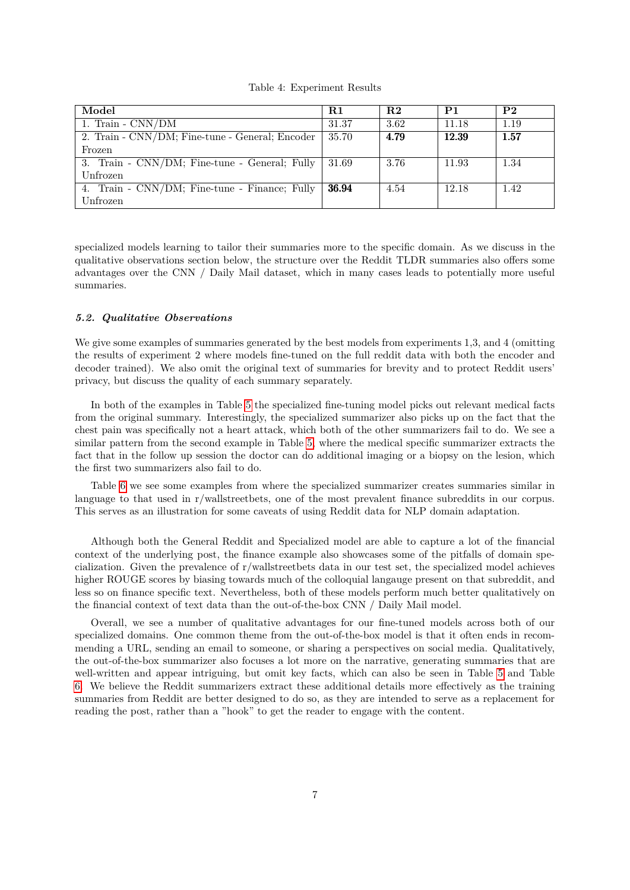#### Table 4: Experiment Results

<span id="page-6-0"></span>

| Model                                           | $_{\rm R1}$ | R <sub>2</sub> | P <sub>1</sub> | P2   |
|-------------------------------------------------|-------------|----------------|----------------|------|
| 1. Train - $\text{CNN} / \text{DM}$             | 31.37       | 3.62           | 11.18          | 1.19 |
| 2. Train - CNN/DM; Fine-tune - General; Encoder | 35.70       | 4.79           | 12.39          | 1.57 |
| Frozen                                          |             |                |                |      |
| 3. Train - CNN/DM; Fine-tune - General; Fully   | 31.69       | 3.76           | 11.93          | 1.34 |
| Unfrozen                                        |             |                |                |      |
| 4. Train - CNN/DM; Fine-tune - Finance; Fully   | 36.94       | 4.54           | 12.18          | 1.42 |
| Unfrozen                                        |             |                |                |      |

specialized models learning to tailor their summaries more to the specific domain. As we discuss in the qualitative observations section below, the structure over the Reddit TLDR summaries also offers some advantages over the CNN / Daily Mail dataset, which in many cases leads to potentially more useful summaries.

#### *5.2. Qualitative Observations*

We give some examples of summaries generated by the best models from experiments 1,3, and 4 (omitting the results of experiment 2 where models fine-tuned on the full reddit data with both the encoder and decoder trained). We also omit the original text of summaries for brevity and to protect Reddit users' privacy, but discuss the quality of each summary separately.

In both of the examples in Table [5](#page-7-0) the specialized fine-tuning model picks out relevant medical facts from the original summary. Interestingly, the specialized summarizer also picks up on the fact that the chest pain was specifically not a heart attack, which both of the other summarizers fail to do. We see a similar pattern from the second example in Table [5,](#page-7-0) where the medical specific summarizer extracts the fact that in the follow up session the doctor can do additional imaging or a biopsy on the lesion, which the first two summarizers also fail to do.

Table [6](#page-8-2) we see some examples from where the specialized summarizer creates summaries similar in language to that used in r/wallstreetbets, one of the most prevalent finance subreddits in our corpus. This serves as an illustration for some caveats of using Reddit data for NLP domain adaptation.

Although both the General Reddit and Specialized model are able to capture a lot of the financial context of the underlying post, the finance example also showcases some of the pitfalls of domain specialization. Given the prevalence of r/wallstreetbets data in our test set, the specialized model achieves higher ROUGE scores by biasing towards much of the colloquial langauge present on that subreddit, and less so on finance specific text. Nevertheless, both of these models perform much better qualitatively on the financial context of text data than the out-of-the-box CNN / Daily Mail model.

Overall, we see a number of qualitative advantages for our fine-tuned models across both of our specialized domains. One common theme from the out-of-the-box model is that it often ends in recommending a URL, sending an email to someone, or sharing a perspectives on social media. Qualitatively, the out-of-the-box summarizer also focuses a lot more on the narrative, generating summaries that are well-written and appear intriguing, but omit key facts, which can also be seen in Table [5](#page-7-0) and Table [6.](#page-8-2) We believe the Reddit summarizers extract these additional details more effectively as the training summaries from Reddit are better designed to do so, as they are intended to serve as a replacement for reading the post, rather than a "hook" to get the reader to engage with the content.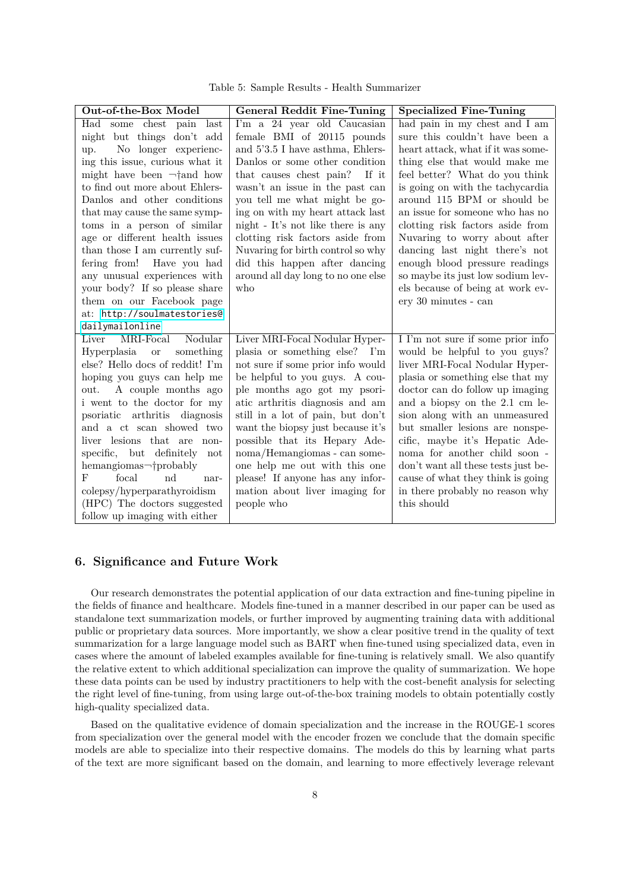Table 5: Sample Results - Health Summarizer

<span id="page-7-0"></span>

| Out-of-the-Box Model            | <b>General Reddit Fine-Tuning</b>  | <b>Specialized Fine-Tuning</b>      |
|---------------------------------|------------------------------------|-------------------------------------|
| Had some chest pain<br>last     | I'm a 24 year old Caucasian        | had pain in my chest and I am       |
| night but things don't add      | female BMI of 20115 pounds         | sure this couldn't have been a      |
| No longer experienc-<br>up.     | and 5'3.5 I have asthma, Ehlers-   | heart attack, what if it was some-  |
| ing this issue, curious what it | Danlos or some other condition     | thing else that would make me       |
| might have been $\neg$ and how  | that causes chest pain? If it      | feel better? What do you think      |
| to find out more about Ehlers-  | wasn't an issue in the past can    | is going on with the tachycardia    |
| Danlos and other conditions     | you tell me what might be go-      | around 115 BPM or should be         |
| that may cause the same symp-   | ing on with my heart attack last   | an issue for someone who has no     |
| toms in a person of similar     | night - It's not like there is any | clotting risk factors aside from    |
| age or different health issues  | clotting risk factors aside from   | Nuvaring to worry about after       |
| than those I am currently suf-  | Nuvaring for birth control so why  | dancing last night there's not      |
| fering from!<br>Have you had    | did this happen after dancing      | enough blood pressure readings      |
| any unusual experiences with    | around all day long to no one else | so maybe its just low sodium lev-   |
| your body? If so please share   | who                                | els because of being at work ev-    |
| them on our Facebook page       |                                    | ery 30 minutes - can                |
| at: http://soulmatestories@     |                                    |                                     |
| dailymailonline                 |                                    |                                     |
| Nodular<br>Liver<br>MRI-Focal   | Liver MRI-Focal Nodular Hyper-     | I I'm not sure if some prior info   |
| Hyperplasia or<br>something     | plasia or something else? I'm      | would be helpful to you guys?       |
| else? Hello docs of reddit! I'm | not sure if some prior info would  | liver MRI-Focal Nodular Hyper-      |
| hoping you guys can help me     | be helpful to you guys. A cou-     | plasia or something else that my    |
| A couple months ago<br>out.     | ple months ago got my psori-       | doctor can do follow up imaging     |
| i went to the doctor for my     | atic arthritis diagnosis and am    | and a biopsy on the 2.1 cm le-      |
| psoriatic arthritis diagnosis   | still in a lot of pain, but don't  | sion along with an unmeasured       |
| and a ct scan showed two        | want the biopsy just because it's  | but smaller lesions are nonspe-     |
| liver lesions that are non-     | possible that its Hepary Ade-      | cific, maybe it's Hepatic Ade-      |
| specific, but definitely<br>not | noma/Hemangiomas - can some-       | noma for another child soon -       |
| hemangiomas-†probably           | one help me out with this one      | don't want all these tests just be- |
| F<br>focal<br>nd<br>nar-        | please! If anyone has any infor-   | cause of what they think is going   |
| colepsy/hyperparathyroidism     | mation about liver imaging for     | in there probably no reason why     |
| (HPC) The doctors suggested     | people who                         | this should                         |
| follow up imaging with either   |                                    |                                     |

# **6. Significance and Future Work**

Our research demonstrates the potential application of our data extraction and fine-tuning pipeline in the fields of finance and healthcare. Models fine-tuned in a manner described in our paper can be used as standalone text summarization models, or further improved by augmenting training data with additional public or proprietary data sources. More importantly, we show a clear positive trend in the quality of text summarization for a large language model such as BART when fine-tuned using specialized data, even in cases where the amount of labeled examples available for fine-tuning is relatively small. We also quantify the relative extent to which additional specialization can improve the quality of summarization. We hope these data points can be used by industry practitioners to help with the cost-benefit analysis for selecting the right level of fine-tuning, from using large out-of-the-box training models to obtain potentially costly high-quality specialized data.

Based on the qualitative evidence of domain specialization and the increase in the ROUGE-1 scores from specialization over the general model with the encoder frozen we conclude that the domain specific models are able to specialize into their respective domains. The models do this by learning what parts of the text are more significant based on the domain, and learning to more effectively leverage relevant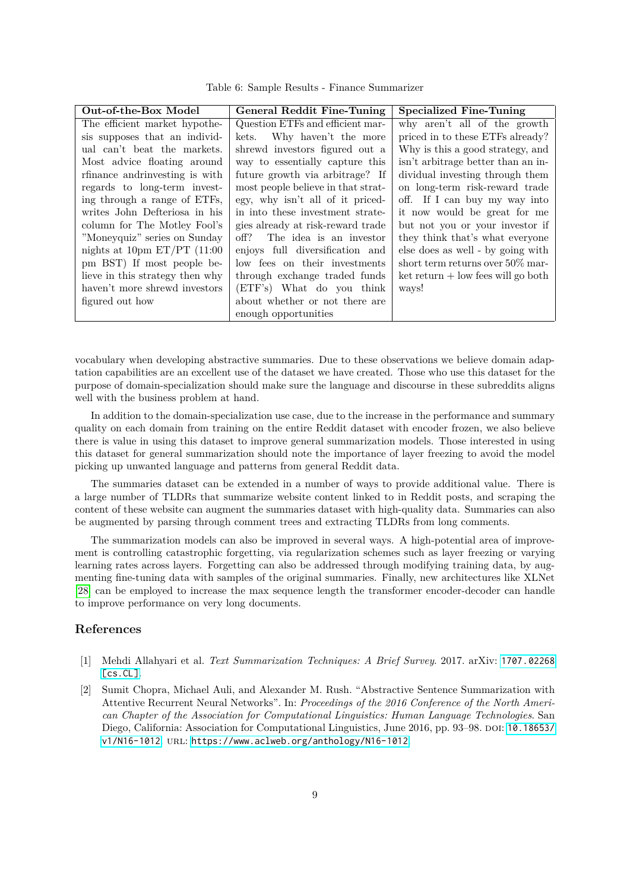Table 6: Sample Results - Finance Summarizer

<span id="page-8-2"></span>

| Out-of-the-Box Model            | General Reddit Fine-Tuning         | <b>Specialized Fine-Tuning</b>         |
|---------------------------------|------------------------------------|----------------------------------------|
| The efficient market hypothe-   | Question ETFs and efficient mar-   | why aren't all of the growth           |
| sis supposes that an individ-   | Why haven't the more<br>kets.      | priced in to these ETFs already?       |
| ual can't beat the markets.     | shrewd investors figured out a     | Why is this a good strategy, and       |
| Most advice floating around     | way to essentially capture this    | isn't arbitrage better than an in-     |
| rfinance and rinvesting is with | future growth via arbitrage? If    | dividual investing through them        |
| regards to long-term invest-    | most people believe in that strat- | on long-term risk-reward trade         |
| ing through a range of ETFs,    | egy, why isn't all of it priced-   | off. If I can buy my way into          |
| writes John Defteriosa in his   | in into these investment strate-   | it now would be great for me           |
| column for The Motley Fool's    | gies already at risk-reward trade  | but not you or your investor if        |
| "Moneyquiz" series on Sunday    | The idea is an investor<br>off?    | they think that's what everyone        |
| nights at 10pm $ET/PT$ (11:00   | enjoys full diversification and    | else does as well - by going with      |
| pm BST) If most people be-      | low fees on their investments      | short term returns over $50\%$ mar-    |
| lieve in this strategy then why | through exchange traded funds      | $ket$ return $+$ low fees will go both |
| haven't more shrewd investors   | (ETF's) What do you think          | ways!                                  |
| figured out how                 | about whether or not there are     |                                        |
|                                 | enough opportunities               |                                        |

vocabulary when developing abstractive summaries. Due to these observations we believe domain adaptation capabilities are an excellent use of the dataset we have created. Those who use this dataset for the purpose of domain-specialization should make sure the language and discourse in these subreddits aligns well with the business problem at hand.

In addition to the domain-specialization use case, due to the increase in the performance and summary quality on each domain from training on the entire Reddit dataset with encoder frozen, we also believe there is value in using this dataset to improve general summarization models. Those interested in using this dataset for general summarization should note the importance of layer freezing to avoid the model picking up unwanted language and patterns from general Reddit data.

The summaries dataset can be extended in a number of ways to provide additional value. There is a large number of TLDRs that summarize website content linked to in Reddit posts, and scraping the content of these website can augment the summaries dataset with high-quality data. Summaries can also be augmented by parsing through comment trees and extracting TLDRs from long comments.

The summarization models can also be improved in several ways. A high-potential area of improvement is controlling catastrophic forgetting, via regularization schemes such as layer freezing or varying learning rates across layers. Forgetting can also be addressed through modifying training data, by augmenting fine-tuning data with samples of the original summaries. Finally, new architectures like XLNet [\[28\]](#page-10-3) can be employed to increase the max sequence length the transformer encoder-decoder can handle to improve performance on very long documents.

# **References**

- <span id="page-8-0"></span>[1] Mehdi Allahyari et al. *Text Summarization Techniques: A Brief Survey*. 2017. arXiv: [1707.02268](https://arxiv.org/abs/1707.02268) [\[cs.CL\]](https://arxiv.org/abs/1707.02268).
- <span id="page-8-1"></span>[2] Sumit Chopra, Michael Auli, and Alexander M. Rush. "Abstractive Sentence Summarization with Attentive Recurrent Neural Networks". In: *Proceedings of the 2016 Conference of the North American Chapter of the Association for Computational Linguistics: Human Language Technologies*. San Diego, California: Association for Computational Linguistics, June 2016, pp. 93–98. doi: [10.18653/](https://doi.org/10.18653/v1/N16-1012) [v1/N16-1012](https://doi.org/10.18653/v1/N16-1012). URL: <https://www.aclweb.org/anthology/N16-1012>.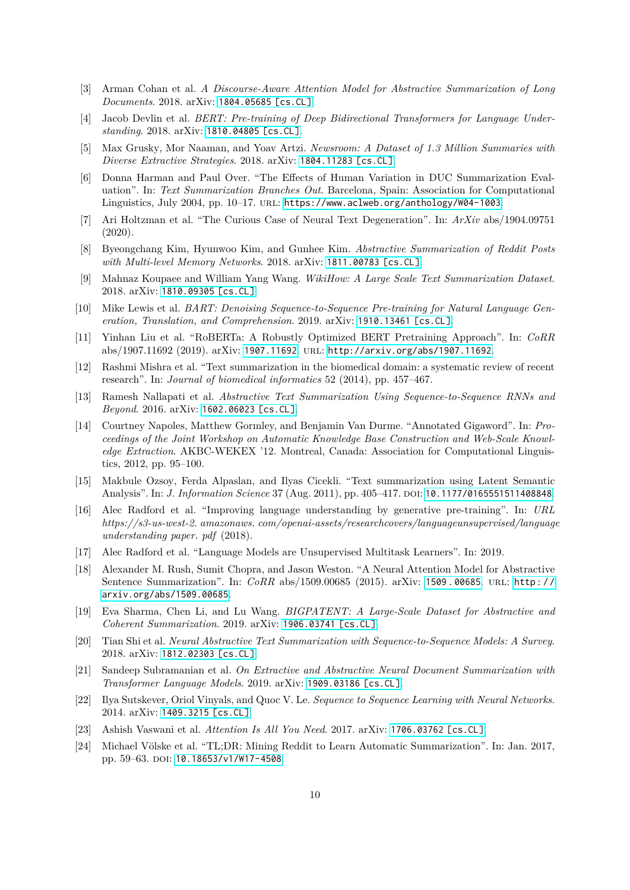- <span id="page-9-7"></span>[3] Arman Cohan et al. *A Discourse-Aware Attention Model for Abstractive Summarization of Long Documents*. 2018. arXiv: [1804.05685 \[cs.CL\]](https://arxiv.org/abs/1804.05685).
- <span id="page-9-9"></span>[4] Jacob Devlin et al. *BERT: Pre-training of Deep Bidirectional Transformers for Language Understanding*. 2018. arXiv: [1810.04805 \[cs.CL\]](https://arxiv.org/abs/1810.04805).
- <span id="page-9-5"></span>[5] Max Grusky, Mor Naaman, and Yoav Artzi. *Newsroom: A Dataset of 1.3 Million Summaries with Diverse Extractive Strategies*. 2018. arXiv: [1804.11283 \[cs.CL\]](https://arxiv.org/abs/1804.11283).
- <span id="page-9-2"></span>[6] Donna Harman and Paul Over. "The Effects of Human Variation in DUC Summarization Evaluation". In: *Text Summarization Branches Out*. Barcelona, Spain: Association for Computational Linguistics, July 2004, pp. 10–17. url: <https://www.aclweb.org/anthology/W04-1003>.
- <span id="page-9-21"></span>[7] Ari Holtzman et al. "The Curious Case of Neural Text Degeneration". In: *ArXiv* abs/1904.09751 (2020).
- <span id="page-9-19"></span>[8] Byeongchang Kim, Hyunwoo Kim, and Gunhee Kim. *Abstractive Summarization of Reddit Posts with Multi-level Memory Networks*. 2018. arXiv: [1811.00783 \[cs.CL\]](https://arxiv.org/abs/1811.00783).
- <span id="page-9-6"></span>[9] Mahnaz Koupaee and William Yang Wang. *WikiHow: A Large Scale Text Summarization Dataset*. 2018. arXiv: [1810.09305 \[cs.CL\]](https://arxiv.org/abs/1810.09305).
- <span id="page-9-1"></span>[10] Mike Lewis et al. *BART: Denoising Sequence-to-Sequence Pre-training for Natural Language Generation, Translation, and Comprehension*. 2019. arXiv: [1910.13461 \[cs.CL\]](https://arxiv.org/abs/1910.13461).
- <span id="page-9-20"></span>[11] Yinhan Liu et al. "RoBERTa: A Robustly Optimized BERT Pretraining Approach". In: *CoRR* abs/1907.11692 (2019). arXiv: [1907.11692](https://arxiv.org/abs/1907.11692). url: <http://arxiv.org/abs/1907.11692>.
- <span id="page-9-18"></span>[12] Rashmi Mishra et al. "Text summarization in the biomedical domain: a systematic review of recent research". In: *Journal of biomedical informatics* 52 (2014), pp. 457–467.
- <span id="page-9-4"></span>[13] Ramesh Nallapati et al. *Abstractive Text Summarization Using Sequence-to-Sequence RNNs and Beyond*. 2016. arXiv: [1602.06023 \[cs.CL\]](https://arxiv.org/abs/1602.06023).
- <span id="page-9-3"></span>[14] Courtney Napoles, Matthew Gormley, and Benjamin Van Durme. "Annotated Gigaword". In: *Proceedings of the Joint Workshop on Automatic Knowledge Base Construction and Web-Scale Knowledge Extraction*. AKBC-WEKEX '12. Montreal, Canada: Association for Computational Linguistics, 2012, pp. 95–100.
- <span id="page-9-11"></span>[15] Makbule Ozsoy, Ferda Alpaslan, and Ilyas Cicekli. "Text summarization using Latent Semantic Analysis". In: *J. Information Science* 37 (Aug. 2011), pp. 405–417. DOI: [10.1177/0165551511408848](https://doi.org/10.1177/0165551511408848).
- <span id="page-9-10"></span>[16] Alec Radford et al. "Improving language understanding by generative pre-training". In: *URL https://s3-us-west-2. amazonaws. com/openai-assets/researchcovers/languageunsupervised/language understanding paper. pdf* (2018).
- <span id="page-9-15"></span>[17] Alec Radford et al. "Language Models are Unsupervised Multitask Learners". In: 2019.
- <span id="page-9-13"></span>[18] Alexander M. Rush, Sumit Chopra, and Jason Weston. "A Neural Attention Model for Abstractive Sentence Summarization". In: *CoRR* abs/1509.00685 (2015). arXiv: 1509.00685. URL: http:// [arxiv.org/abs/1509.00685](http://arxiv.org/abs/1509.00685).
- <span id="page-9-17"></span>[19] Eva Sharma, Chen Li, and Lu Wang. *BIGPATENT: A Large-Scale Dataset for Abstractive and Coherent Summarization*. 2019. arXiv: [1906.03741 \[cs.CL\]](https://arxiv.org/abs/1906.03741).
- <span id="page-9-0"></span>[20] Tian Shi et al. *Neural Abstractive Text Summarization with Sequence-to-Sequence Models: A Survey*. 2018. arXiv: [1812.02303 \[cs.CL\]](https://arxiv.org/abs/1812.02303).
- <span id="page-9-16"></span>[21] Sandeep Subramanian et al. *On Extractive and Abstractive Neural Document Summarization with Transformer Language Models*. 2019. arXiv: [1909.03186 \[cs.CL\]](https://arxiv.org/abs/1909.03186).
- <span id="page-9-12"></span>[22] Ilya Sutskever, Oriol Vinyals, and Quoc V. Le. *Sequence to Sequence Learning with Neural Networks*. 2014. arXiv: [1409.3215 \[cs.CL\]](https://arxiv.org/abs/1409.3215).
- <span id="page-9-14"></span>[23] Ashish Vaswani et al. *Attention Is All You Need*. 2017. arXiv: [1706.03762 \[cs.CL\]](https://arxiv.org/abs/1706.03762).
- <span id="page-9-8"></span>[24] Michael Völske et al. "TL;DR: Mining Reddit to Learn Automatic Summarization". In: Jan. 2017, pp. 59–63. doi: [10.18653/v1/W17-4508](https://doi.org/10.18653/v1/W17-4508).